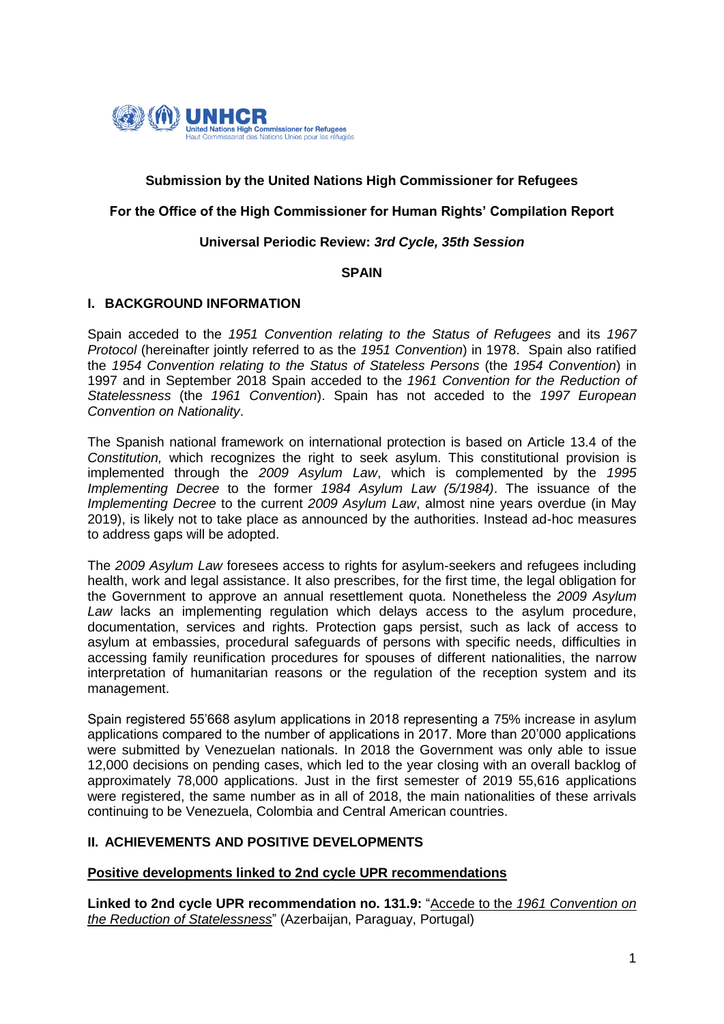

# **Submission by the United Nations High Commissioner for Refugees**

# **For the Office of the High Commissioner for Human Rights' Compilation Report**

# **Universal Periodic Review:** *3rd Cycle, 35th Session*

### **SPAIN**

### **I. BACKGROUND INFORMATION**

Spain acceded to the *1951 Convention relating to the Status of Refugees* and its *1967 Protocol* (hereinafter jointly referred to as the *1951 Convention*) in 1978. Spain also ratified the *1954 Convention relating to the Status of Stateless Persons* (the *1954 Convention*) in 1997 and in September 2018 Spain acceded to the *1961 Convention for the Reduction of Statelessness* (the *1961 Convention*). Spain has not acceded to the *1997 European Convention on Nationality*.

The Spanish national framework on international protection is based on Article 13.4 of the *Constitution,* which recognizes the right to seek asylum. This constitutional provision is implemented through the *2009 Asylum Law*, which is complemented by the *1995 Implementing Decree* to the former *1984 Asylum Law (5/1984)*. The issuance of the *Implementing Decree* to the current *2009 Asylum Law*, almost nine years overdue (in May 2019), is likely not to take place as announced by the authorities. Instead ad-hoc measures to address gaps will be adopted.

The *2009 Asylum Law* foresees access to rights for asylum-seekers and refugees including health, work and legal assistance. It also prescribes, for the first time, the legal obligation for the Government to approve an annual resettlement quota. Nonetheless the *2009 Asylum Law* lacks an implementing regulation which delays access to the asylum procedure, documentation, services and rights. Protection gaps persist, such as lack of access to asylum at embassies, procedural safeguards of persons with specific needs, difficulties in accessing family reunification procedures for spouses of different nationalities, the narrow interpretation of humanitarian reasons or the regulation of the reception system and its management.

Spain registered 55'668 asylum applications in 2018 representing a 75% increase in asylum applications compared to the number of applications in 2017. More than 20'000 applications were submitted by Venezuelan nationals. In 2018 the Government was only able to issue 12,000 decisions on pending cases, which led to the year closing with an overall backlog of approximately 78,000 applications. Just in the first semester of 2019 55,616 applications were registered, the same number as in all of 2018, the main nationalities of these arrivals continuing to be Venezuela, Colombia and Central American countries.

# **II. ACHIEVEMENTS AND POSITIVE DEVELOPMENTS**

# **Positive developments linked to 2nd cycle UPR recommendations**

**Linked to 2nd cycle UPR recommendation no. 131.9:** "Accede to the *1961 Convention on the Reduction of Statelessness*" (Azerbaijan, Paraguay, Portugal)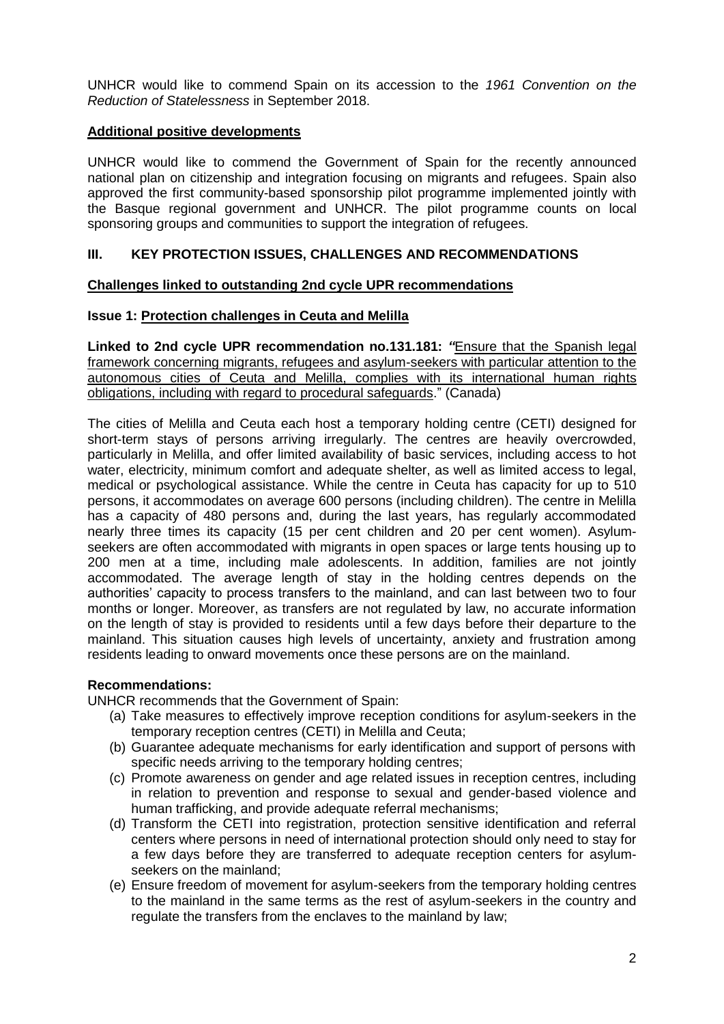UNHCR would like to commend Spain on its accession to the *1961 Convention on the Reduction of Statelessness* in September 2018.

# **Additional positive developments**

UNHCR would like to commend the Government of Spain for the recently announced national plan on citizenship and integration focusing on migrants and refugees. Spain also approved the first community-based sponsorship pilot programme implemented jointly with the Basque regional government and UNHCR. The pilot programme counts on local sponsoring groups and communities to support the integration of refugees.

# **III. KEY PROTECTION ISSUES, CHALLENGES AND RECOMMENDATIONS**

### **Challenges linked to outstanding 2nd cycle UPR recommendations**

# **Issue 1: Protection challenges in Ceuta and Melilla**

**Linked to 2nd cycle UPR recommendation no.131.181:** *"*Ensure that the Spanish legal framework concerning migrants, refugees and asylum-seekers with particular attention to the autonomous cities of Ceuta and Melilla, complies with its international human rights obligations, including with regard to procedural safeguards." (Canada)

The cities of Melilla and Ceuta each host a temporary holding centre (CETI) designed for short-term stays of persons arriving irregularly. The centres are heavily overcrowded, particularly in Melilla, and offer limited availability of basic services, including access to hot water, electricity, minimum comfort and adequate shelter, as well as limited access to legal, medical or psychological assistance. While the centre in Ceuta has capacity for up to 510 persons, it accommodates on average 600 persons (including children). The centre in Melilla has a capacity of 480 persons and, during the last years, has regularly accommodated nearly three times its capacity (15 per cent children and 20 per cent women). Asylumseekers are often accommodated with migrants in open spaces or large tents housing up to 200 men at a time, including male adolescents. In addition, families are not jointly accommodated. The average length of stay in the holding centres depends on the authorities' capacity to process transfers to the mainland, and can last between two to four months or longer. Moreover, as transfers are not regulated by law, no accurate information on the length of stay is provided to residents until a few days before their departure to the mainland. This situation causes high levels of uncertainty, anxiety and frustration among residents leading to onward movements once these persons are on the mainland.

### **Recommendations:**

UNHCR recommends that the Government of Spain:

- (a) Take measures to effectively improve reception conditions for asylum-seekers in the temporary reception centres (CETI) in Melilla and Ceuta;
- (b) Guarantee adequate mechanisms for early identification and support of persons with specific needs arriving to the temporary holding centres;
- (c) Promote awareness on gender and age related issues in reception centres, including in relation to prevention and response to sexual and gender-based violence and human trafficking, and provide adequate referral mechanisms;
- (d) Transform the CETI into registration, protection sensitive identification and referral centers where persons in need of international protection should only need to stay for a few days before they are transferred to adequate reception centers for asylumseekers on the mainland;
- (e) Ensure freedom of movement for asylum-seekers from the temporary holding centres to the mainland in the same terms as the rest of asylum-seekers in the country and regulate the transfers from the enclaves to the mainland by law;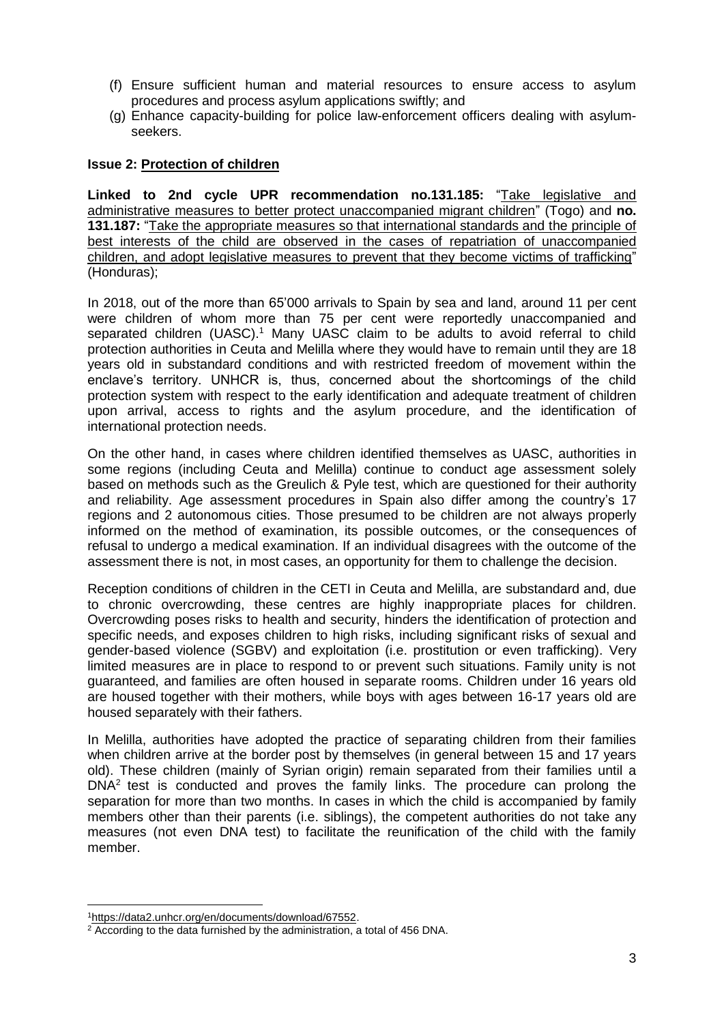- (f) Ensure sufficient human and material resources to ensure access to asylum procedures and process asylum applications swiftly; and
- (g) Enhance capacity-building for police law-enforcement officers dealing with asylumseekers.

### **Issue 2: Protection of children**

**Linked to 2nd cycle UPR recommendation no.131.185:** "Take legislative and administrative measures to better protect unaccompanied migrant children" (Togo) and **no. 131.187:** "Take the appropriate measures so that international standards and the principle of best interests of the child are observed in the cases of repatriation of unaccompanied children, and adopt legislative measures to prevent that they become victims of trafficking" (Honduras);

In 2018, out of the more than 65'000 arrivals to Spain by sea and land, around 11 per cent were children of whom more than 75 per cent were reportedly unaccompanied and separated children (UASC).<sup>1</sup> Many UASC claim to be adults to avoid referral to child protection authorities in Ceuta and Melilla where they would have to remain until they are 18 years old in substandard conditions and with restricted freedom of movement within the enclave's territory. UNHCR is, thus, concerned about the shortcomings of the child protection system with respect to the early identification and adequate treatment of children upon arrival, access to rights and the asylum procedure, and the identification of international protection needs.

On the other hand, in cases where children identified themselves as UASC, authorities in some regions (including Ceuta and Melilla) continue to conduct age assessment solely based on methods such as the Greulich & Pyle test, which are questioned for their authority and reliability. Age assessment procedures in Spain also differ among the country's 17 regions and 2 autonomous cities. Those presumed to be children are not always properly informed on the method of examination, its possible outcomes, or the consequences of refusal to undergo a medical examination. If an individual disagrees with the outcome of the assessment there is not, in most cases, an opportunity for them to challenge the decision.

Reception conditions of children in the CETI in Ceuta and Melilla, are substandard and, due to chronic overcrowding, these centres are highly inappropriate places for children. Overcrowding poses risks to health and security, hinders the identification of protection and specific needs, and exposes children to high risks, including significant risks of sexual and gender-based violence (SGBV) and exploitation (i.e. prostitution or even trafficking). Very limited measures are in place to respond to or prevent such situations. Family unity is not guaranteed, and families are often housed in separate rooms. Children under 16 years old are housed together with their mothers, while boys with ages between 16-17 years old are housed separately with their fathers.

In Melilla, authorities have adopted the practice of separating children from their families when children arrive at the border post by themselves (in general between 15 and 17 years old). These children (mainly of Syrian origin) remain separated from their families until a  $DNA<sup>2</sup>$  test is conducted and proves the family links. The procedure can prolong the separation for more than two months. In cases in which the child is accompanied by family members other than their parents (i.e. siblings), the competent authorities do not take any measures (not even DNA test) to facilitate the reunification of the child with the family member.

1

<sup>1</sup>[https://data2.unhcr.org/en/documents/download/67552.](https://emea01.safelinks.protection.outlook.com/?url=https%3A%2F%2Fdata2.unhcr.org%2Fen%2Fdocuments%2Fdownload%2F67552&data=02%7C01%7Crasilla%40unhcr.org%7C9abc739d1eb84007cb2808d67a1b5973%7Ce5c37981666441348a0c6543d2af80be%7C0%7C0%7C636830655206471395&sdata=K4O0NB%2FhK2Re8y02fxchthuzNX7Vg%2FXLZkpUpzxvFP0%3D&reserved=0)

<sup>&</sup>lt;sup>2</sup> According to the data furnished by the administration, a total of 456 DNA.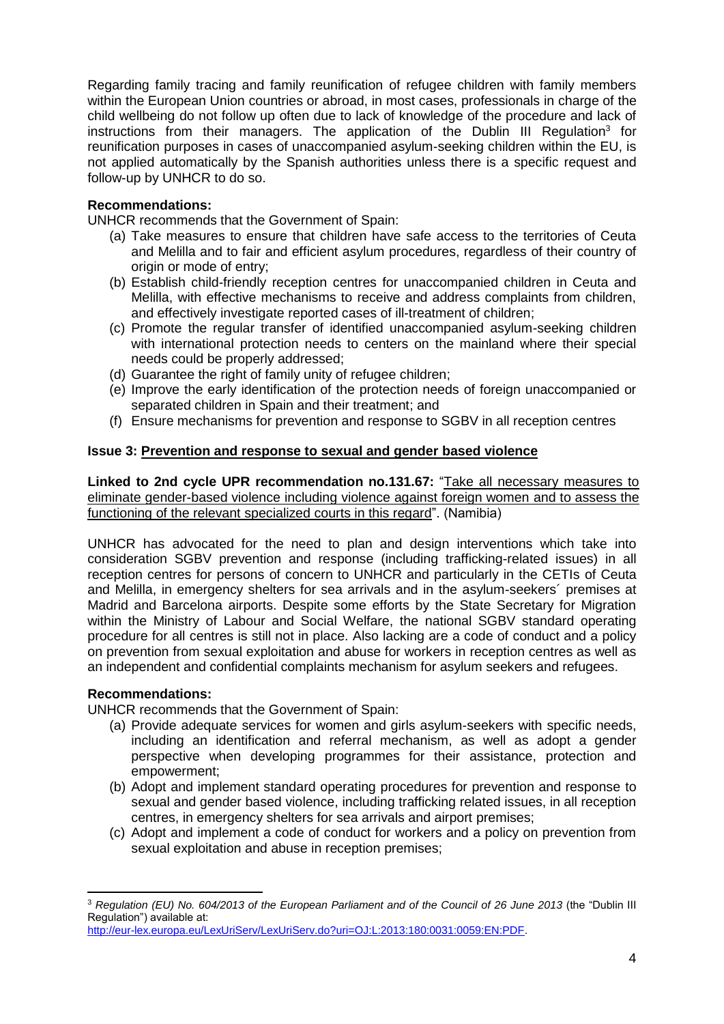Regarding family tracing and family reunification of refugee children with family members within the European Union countries or abroad, in most cases, professionals in charge of the child wellbeing do not follow up often due to lack of knowledge of the procedure and lack of instructions from their managers. The application of the Dublin III Regulation<sup>3</sup> for reunification purposes in cases of unaccompanied asylum-seeking children within the EU, is not applied automatically by the Spanish authorities unless there is a specific request and follow-up by UNHCR to do so.

# **Recommendations:**

UNHCR recommends that the Government of Spain:

- (a) Take measures to ensure that children have safe access to the territories of Ceuta and Melilla and to fair and efficient asylum procedures, regardless of their country of origin or mode of entry;
- (b) Establish child-friendly reception centres for unaccompanied children in Ceuta and Melilla, with effective mechanisms to receive and address complaints from children, and effectively investigate reported cases of ill-treatment of children;
- (c) Promote the regular transfer of identified unaccompanied asylum-seeking children with international protection needs to centers on the mainland where their special needs could be properly addressed;
- (d) Guarantee the right of family unity of refugee children;
- (e) Improve the early identification of the protection needs of foreign unaccompanied or separated children in Spain and their treatment; and
- (f) Ensure mechanisms for prevention and response to SGBV in all reception centres

# **Issue 3: Prevention and response to sexual and gender based violence**

**Linked to 2nd cycle UPR recommendation no.131.67:** "Take all necessary measures to eliminate gender-based violence including violence against foreign women and to assess the functioning of the relevant specialized courts in this regard". (Namibia)

UNHCR has advocated for the need to plan and design interventions which take into consideration SGBV prevention and response (including trafficking-related issues) in all reception centres for persons of concern to UNHCR and particularly in the CETIs of Ceuta and Melilla, in emergency shelters for sea arrivals and in the asylum-seekers´ premises at Madrid and Barcelona airports. Despite some efforts by the State Secretary for Migration within the Ministry of Labour and Social Welfare, the national SGBV standard operating procedure for all centres is still not in place. Also lacking are a code of conduct and a policy on prevention from sexual exploitation and abuse for workers in reception centres as well as an independent and confidential complaints mechanism for asylum seekers and refugees.

# **Recommendations:**

**.** 

UNHCR recommends that the Government of Spain:

- (a) Provide adequate services for women and girls asylum-seekers with specific needs, including an identification and referral mechanism, as well as adopt a gender perspective when developing programmes for their assistance, protection and empowerment;
- (b) Adopt and implement standard operating procedures for prevention and response to sexual and gender based violence, including trafficking related issues, in all reception centres, in emergency shelters for sea arrivals and airport premises;
- (c) Adopt and implement a code of conduct for workers and a policy on prevention from sexual exploitation and abuse in reception premises;

<sup>3</sup> *Regulation (EU) No. 604/2013 of the European Parliament and of the Council of 26 June 2013* (the "Dublin III Regulation") available at:

[http://eur-lex.europa.eu/LexUriServ/LexUriServ.do?uri=OJ:L:2013:180:0031:0059:EN:PDF.](http://eur-lex.europa.eu/LexUriServ/LexUriServ.do?uri=OJ:L:2013:180:0031:0059:EN:PDF)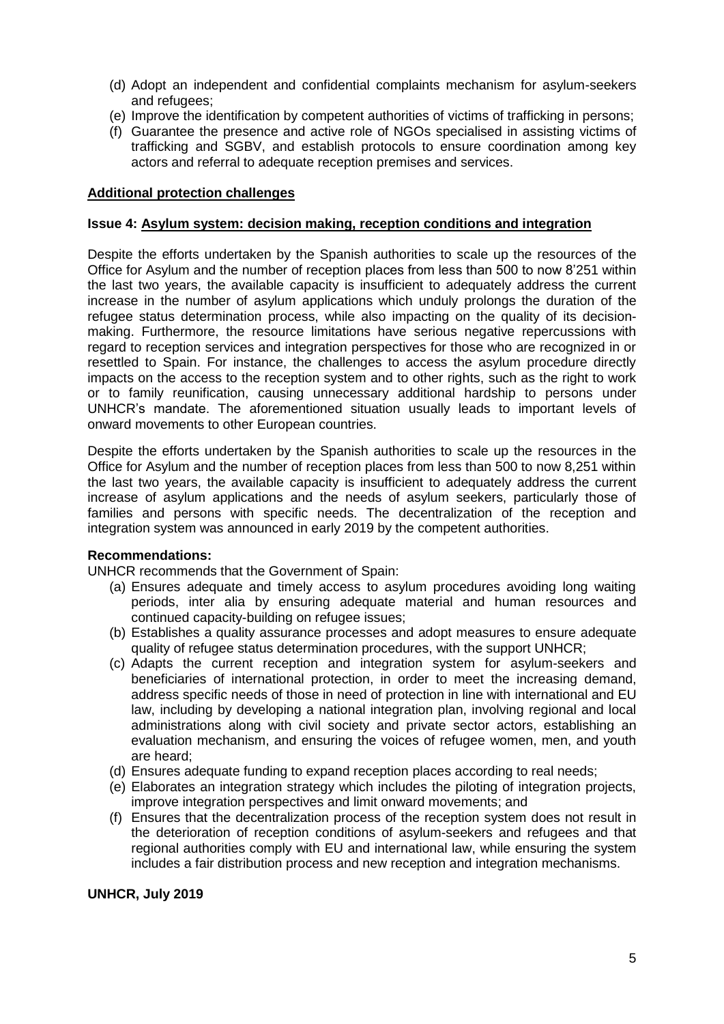- (d) Adopt an independent and confidential complaints mechanism for asylum-seekers and refugees;
- (e) Improve the identification by competent authorities of victims of trafficking in persons;
- (f) Guarantee the presence and active role of NGOs specialised in assisting victims of trafficking and SGBV, and establish protocols to ensure coordination among key actors and referral to adequate reception premises and services.

### **Additional protection challenges**

### **Issue 4: Asylum system: decision making, reception conditions and integration**

Despite the efforts undertaken by the Spanish authorities to scale up the resources of the Office for Asylum and the number of reception places from less than 500 to now 8'251 within the last two years, the available capacity is insufficient to adequately address the current increase in the number of asylum applications which unduly prolongs the duration of the refugee status determination process, while also impacting on the quality of its decisionmaking. Furthermore, the resource limitations have serious negative repercussions with regard to reception services and integration perspectives for those who are recognized in or resettled to Spain. For instance, the challenges to access the asylum procedure directly impacts on the access to the reception system and to other rights, such as the right to work or to family reunification, causing unnecessary additional hardship to persons under UNHCR's mandate. The aforementioned situation usually leads to important levels of onward movements to other European countries.

Despite the efforts undertaken by the Spanish authorities to scale up the resources in the Office for Asylum and the number of reception places from less than 500 to now 8,251 within the last two years, the available capacity is insufficient to adequately address the current increase of asylum applications and the needs of asylum seekers, particularly those of families and persons with specific needs. The decentralization of the reception and integration system was announced in early 2019 by the competent authorities.

### **Recommendations:**

UNHCR recommends that the Government of Spain:

- (a) Ensures adequate and timely access to asylum procedures avoiding long waiting periods, inter alia by ensuring adequate material and human resources and continued capacity-building on refugee issues;
- (b) Establishes a quality assurance processes and adopt measures to ensure adequate quality of refugee status determination procedures, with the support UNHCR;
- (c) Adapts the current reception and integration system for asylum-seekers and beneficiaries of international protection, in order to meet the increasing demand, address specific needs of those in need of protection in line with international and EU law, including by developing a national integration plan, involving regional and local administrations along with civil society and private sector actors, establishing an evaluation mechanism, and ensuring the voices of refugee women, men, and youth are heard;
- (d) Ensures adequate funding to expand reception places according to real needs;
- (e) Elaborates an integration strategy which includes the piloting of integration projects, improve integration perspectives and limit onward movements; and
- (f) Ensures that the decentralization process of the reception system does not result in the deterioration of reception conditions of asylum-seekers and refugees and that regional authorities comply with EU and international law, while ensuring the system includes a fair distribution process and new reception and integration mechanisms.

### **UNHCR, July 2019**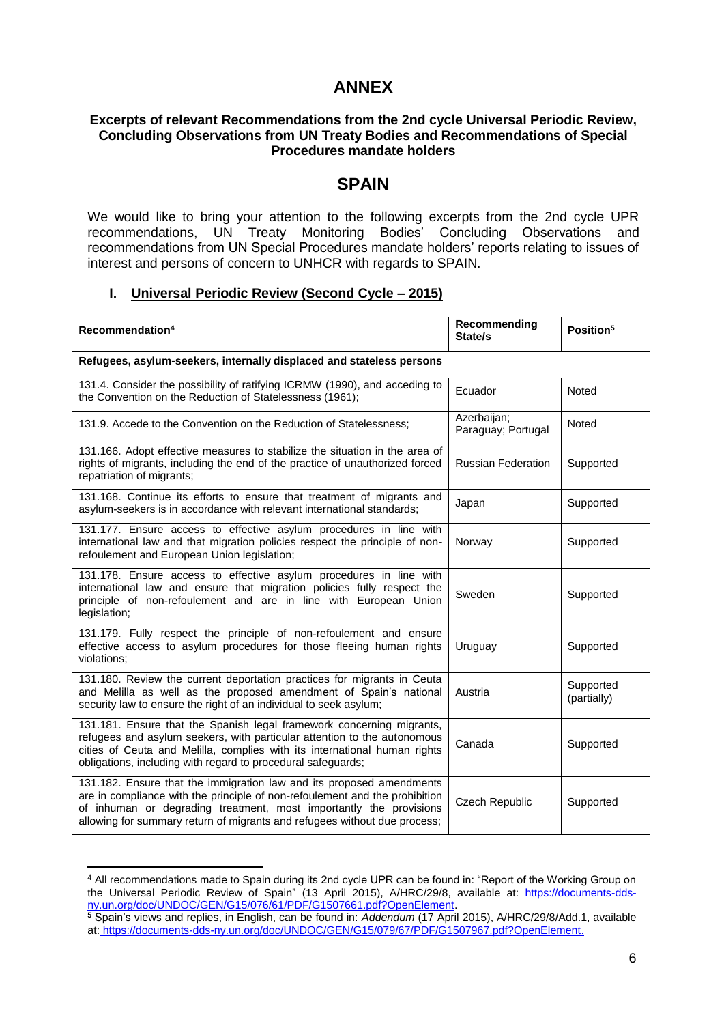# **ANNEX**

### **Excerpts of relevant Recommendations from the 2nd cycle Universal Periodic Review, Concluding Observations from UN Treaty Bodies and Recommendations of Special Procedures mandate holders**

# **SPAIN**

We would like to bring your attention to the following excerpts from the 2nd cycle UPR recommendations, UN Treaty Monitoring Bodies' Concluding Observations and recommendations from UN Special Procedures mandate holders' reports relating to issues of interest and persons of concern to UNHCR with regards to SPAIN.

### **I. Universal Periodic Review (Second Cycle – 2015)**

| Recommendation <sup>4</sup>                                                                                                                                                                                                                                                                            | Recommending<br>State/s           | Position <sup>5</sup>    |  |  |
|--------------------------------------------------------------------------------------------------------------------------------------------------------------------------------------------------------------------------------------------------------------------------------------------------------|-----------------------------------|--------------------------|--|--|
| Refugees, asylum-seekers, internally displaced and stateless persons                                                                                                                                                                                                                                   |                                   |                          |  |  |
| 131.4. Consider the possibility of ratifying ICRMW (1990), and acceding to<br>the Convention on the Reduction of Statelessness (1961);                                                                                                                                                                 | Ecuador                           | Noted                    |  |  |
| 131.9. Accede to the Convention on the Reduction of Statelessness;                                                                                                                                                                                                                                     | Azerbaijan;<br>Paraguay; Portugal | Noted                    |  |  |
| 131.166. Adopt effective measures to stabilize the situation in the area of<br>rights of migrants, including the end of the practice of unauthorized forced<br>repatriation of migrants;                                                                                                               | <b>Russian Federation</b>         | Supported                |  |  |
| 131.168. Continue its efforts to ensure that treatment of migrants and<br>asylum-seekers is in accordance with relevant international standards;                                                                                                                                                       | Japan                             | Supported                |  |  |
| 131.177. Ensure access to effective asylum procedures in line with<br>international law and that migration policies respect the principle of non-<br>refoulement and European Union legislation;                                                                                                       | Norway                            | Supported                |  |  |
| 131.178. Ensure access to effective asylum procedures in line with<br>international law and ensure that migration policies fully respect the<br>principle of non-refoulement and are in line with European Union<br>legislation;                                                                       | Sweden                            | Supported                |  |  |
| 131.179. Fully respect the principle of non-refoulement and ensure<br>effective access to asylum procedures for those fleeing human rights<br>violations;                                                                                                                                              | Uruguay                           | Supported                |  |  |
| 131.180. Review the current deportation practices for migrants in Ceuta<br>and Melilla as well as the proposed amendment of Spain's national<br>security law to ensure the right of an individual to seek asylum;                                                                                      | Austria                           | Supported<br>(partially) |  |  |
| 131.181. Ensure that the Spanish legal framework concerning migrants,<br>refugees and asylum seekers, with particular attention to the autonomous<br>cities of Ceuta and Melilla, complies with its international human rights<br>obligations, including with regard to procedural safeguards;         | Canada                            | Supported                |  |  |
| 131.182. Ensure that the immigration law and its proposed amendments<br>are in compliance with the principle of non-refoulement and the prohibition<br>of inhuman or degrading treatment, most importantly the provisions<br>allowing for summary return of migrants and refugees without due process; | Czech Republic                    | Supported                |  |  |

**<sup>.</sup>** <sup>4</sup> All recommendations made to Spain during its 2nd cycle UPR can be found in: "Report of the Working Group on the Universal Periodic Review of Spain" (13 April 2015), A/HRC/29/8, available at: [https://documents-dds](https://documents-dds-ny.un.org/doc/UNDOC/GEN/G15/076/61/PDF/G1507661.pdf?OpenElement)[ny.un.org/doc/UNDOC/GEN/G15/076/61/PDF/G1507661.pdf?OpenElement.](https://documents-dds-ny.un.org/doc/UNDOC/GEN/G15/076/61/PDF/G1507661.pdf?OpenElement)

**<sup>5</sup>** Spain's views and replies, in English, can be found in: *Addendum* (17 April 2015), A/HRC/29/8/Add.1, available at: [https://documents-dds-ny.un.org/doc/UNDOC/GEN/G15/079/67/PDF/G1507967.pdf?OpenElement.](https://documents-dds-ny.un.org/doc/UNDOC/GEN/G15/079/67/PDF/G1507967.pdf?OpenElement)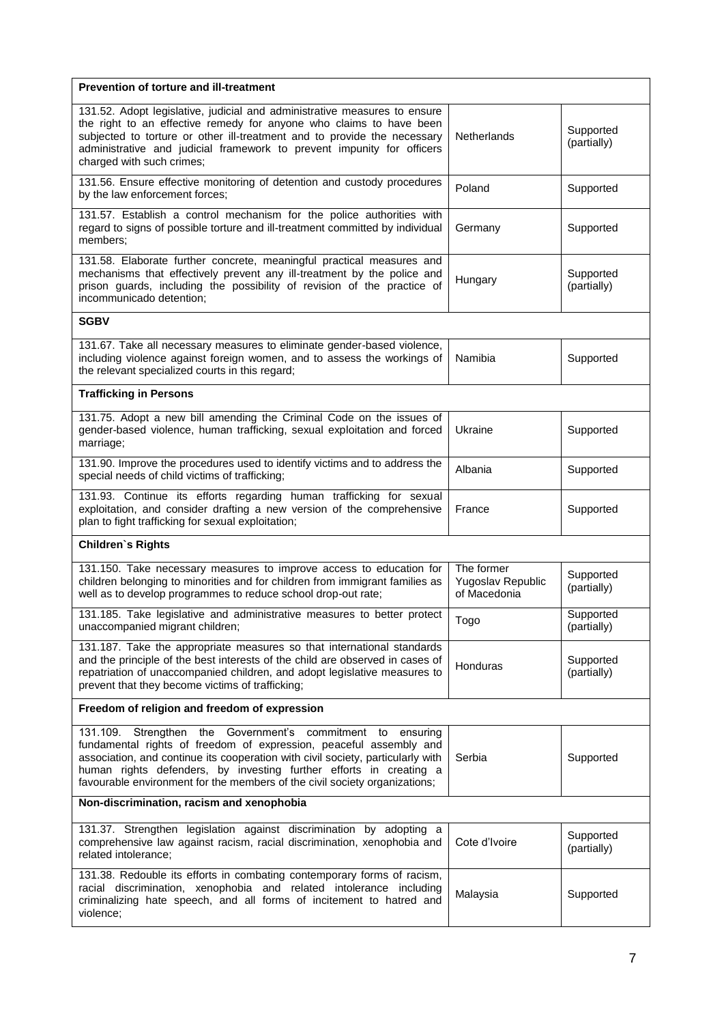| Prevention of torture and ill-treatment                                                                                                                                                                                                                                                                                                                                     |                                                 |                          |  |  |
|-----------------------------------------------------------------------------------------------------------------------------------------------------------------------------------------------------------------------------------------------------------------------------------------------------------------------------------------------------------------------------|-------------------------------------------------|--------------------------|--|--|
| 131.52. Adopt legislative, judicial and administrative measures to ensure<br>the right to an effective remedy for anyone who claims to have been<br>subjected to torture or other ill-treatment and to provide the necessary<br>administrative and judicial framework to prevent impunity for officers<br>charged with such crimes;                                         | Netherlands                                     | Supported<br>(partially) |  |  |
| 131.56. Ensure effective monitoring of detention and custody procedures<br>by the law enforcement forces;                                                                                                                                                                                                                                                                   | Poland                                          | Supported                |  |  |
| 131.57. Establish a control mechanism for the police authorities with<br>regard to signs of possible torture and ill-treatment committed by individual<br>members;                                                                                                                                                                                                          | Germany                                         | Supported                |  |  |
| 131.58. Elaborate further concrete, meaningful practical measures and<br>mechanisms that effectively prevent any ill-treatment by the police and<br>prison guards, including the possibility of revision of the practice of<br>incommunicado detention;                                                                                                                     | Hungary                                         | Supported<br>(partially) |  |  |
| SGBV                                                                                                                                                                                                                                                                                                                                                                        |                                                 |                          |  |  |
| 131.67. Take all necessary measures to eliminate gender-based violence,<br>including violence against foreign women, and to assess the workings of<br>the relevant specialized courts in this regard;                                                                                                                                                                       | Namibia                                         | Supported                |  |  |
| <b>Trafficking in Persons</b>                                                                                                                                                                                                                                                                                                                                               |                                                 |                          |  |  |
| 131.75. Adopt a new bill amending the Criminal Code on the issues of<br>gender-based violence, human trafficking, sexual exploitation and forced<br>marriage;                                                                                                                                                                                                               | Ukraine                                         | Supported                |  |  |
| 131.90. Improve the procedures used to identify victims and to address the<br>special needs of child victims of trafficking;                                                                                                                                                                                                                                                | Albania                                         | Supported                |  |  |
| 131.93. Continue its efforts regarding human trafficking for sexual<br>exploitation, and consider drafting a new version of the comprehensive<br>plan to fight trafficking for sexual exploitation;                                                                                                                                                                         | France                                          | Supported                |  |  |
| <b>Children's Rights</b>                                                                                                                                                                                                                                                                                                                                                    |                                                 |                          |  |  |
| 131.150. Take necessary measures to improve access to education for<br>children belonging to minorities and for children from immigrant families as<br>well as to develop programmes to reduce school drop-out rate;                                                                                                                                                        | The former<br>Yugoslav Republic<br>of Macedonia | Supported<br>(partially) |  |  |
| 131.185. Take legislative and administrative measures to better protect<br>unaccompanied migrant children;                                                                                                                                                                                                                                                                  | Togo                                            | Supported<br>(partially) |  |  |
| 131.187. Take the appropriate measures so that international standards<br>and the principle of the best interests of the child are observed in cases of<br>repatriation of unaccompanied children, and adopt legislative measures to<br>prevent that they become victims of trafficking;                                                                                    | Honduras                                        | Supported<br>(partially) |  |  |
| Freedom of religion and freedom of expression                                                                                                                                                                                                                                                                                                                               |                                                 |                          |  |  |
| the Government's commitment to ensuring<br>131.109. Strengthen<br>fundamental rights of freedom of expression, peaceful assembly and<br>association, and continue its cooperation with civil society, particularly with<br>human rights defenders, by investing further efforts in creating a<br>favourable environment for the members of the civil society organizations; | Serbia                                          | Supported                |  |  |
| Non-discrimination, racism and xenophobia                                                                                                                                                                                                                                                                                                                                   |                                                 |                          |  |  |
| 131.37. Strengthen legislation against discrimination by adopting a<br>comprehensive law against racism, racial discrimination, xenophobia and<br>related intolerance;                                                                                                                                                                                                      | Cote d'Ivoire                                   | Supported<br>(partially) |  |  |
| 131.38. Redouble its efforts in combating contemporary forms of racism,<br>racial discrimination, xenophobia and related intolerance including<br>criminalizing hate speech, and all forms of incitement to hatred and<br>violence;                                                                                                                                         | Malaysia                                        | Supported                |  |  |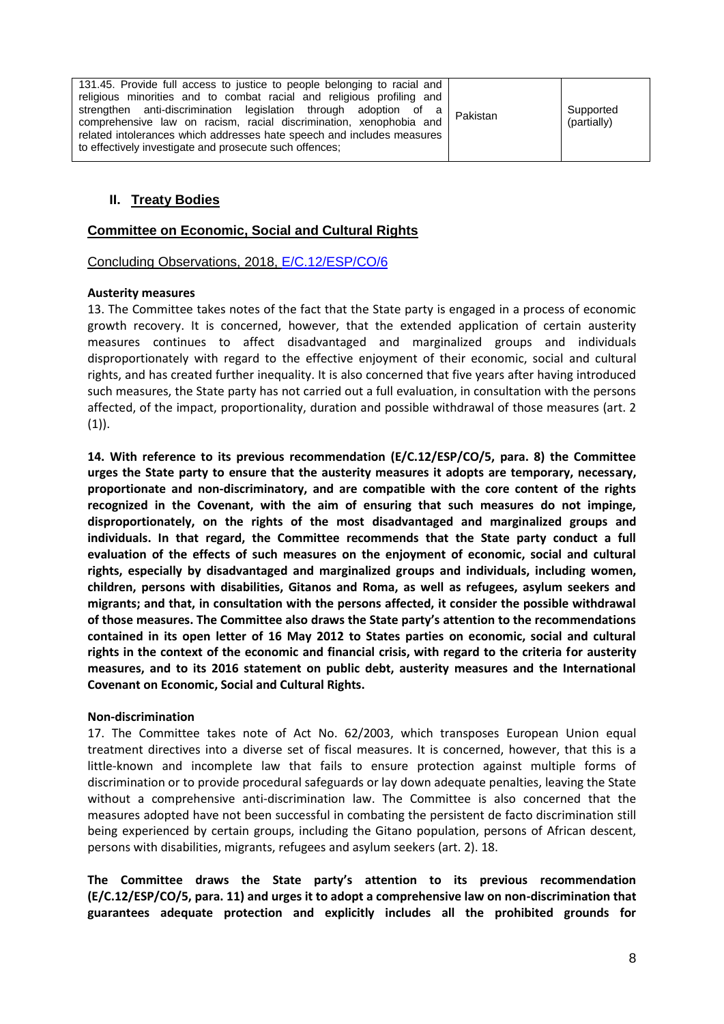| 131.45. Provide full access to justice to people belonging to racial and  |             |
|---------------------------------------------------------------------------|-------------|
| religious minorities and to combat racial and religious profiling and     |             |
| strengthen anti-discrimination legislation through adoption of a Pakistan | Supported   |
| comprehensive law on racism, racial discrimination, xenophobia and        | (partially) |
| related intolerances which addresses hate speech and includes measures    |             |
| to effectively investigate and prosecute such offences;                   |             |

# **II. Treaty Bodies**

### **Committee on Economic, Social and Cultural Rights**

Concluding Observations, 2018, [E/C.12/ESP/CO/6](https://tbinternet.ohchr.org/_layouts/treatybodyexternal/Download.aspx?symbolno=E/C.12/ESP/CO/6&Lang=En)

#### **Austerity measures**

13. The Committee takes notes of the fact that the State party is engaged in a process of economic growth recovery. It is concerned, however, that the extended application of certain austerity measures continues to affect disadvantaged and marginalized groups and individuals disproportionately with regard to the effective enjoyment of their economic, social and cultural rights, and has created further inequality. It is also concerned that five years after having introduced such measures, the State party has not carried out a full evaluation, in consultation with the persons affected, of the impact, proportionality, duration and possible withdrawal of those measures (art. 2  $(1)$ ).

**14. With reference to its previous recommendation (E/C.12/ESP/CO/5, para. 8) the Committee urges the State party to ensure that the austerity measures it adopts are temporary, necessary, proportionate and non-discriminatory, and are compatible with the core content of the rights recognized in the Covenant, with the aim of ensuring that such measures do not impinge, disproportionately, on the rights of the most disadvantaged and marginalized groups and individuals. In that regard, the Committee recommends that the State party conduct a full evaluation of the effects of such measures on the enjoyment of economic, social and cultural rights, especially by disadvantaged and marginalized groups and individuals, including women, children, persons with disabilities, Gitanos and Roma, as well as refugees, asylum seekers and migrants; and that, in consultation with the persons affected, it consider the possible withdrawal of those measures. The Committee also draws the State party's attention to the recommendations contained in its open letter of 16 May 2012 to States parties on economic, social and cultural rights in the context of the economic and financial crisis, with regard to the criteria for austerity measures, and to its 2016 statement on public debt, austerity measures and the International Covenant on Economic, Social and Cultural Rights.**

#### **Non-discrimination**

17. The Committee takes note of Act No. 62/2003, which transposes European Union equal treatment directives into a diverse set of fiscal measures. It is concerned, however, that this is a little-known and incomplete law that fails to ensure protection against multiple forms of discrimination or to provide procedural safeguards or lay down adequate penalties, leaving the State without a comprehensive anti-discrimination law. The Committee is also concerned that the measures adopted have not been successful in combating the persistent de facto discrimination still being experienced by certain groups, including the Gitano population, persons of African descent, persons with disabilities, migrants, refugees and asylum seekers (art. 2). 18.

**The Committee draws the State party's attention to its previous recommendation (E/C.12/ESP/CO/5, para. 11) and urges it to adopt a comprehensive law on non-discrimination that guarantees adequate protection and explicitly includes all the prohibited grounds for**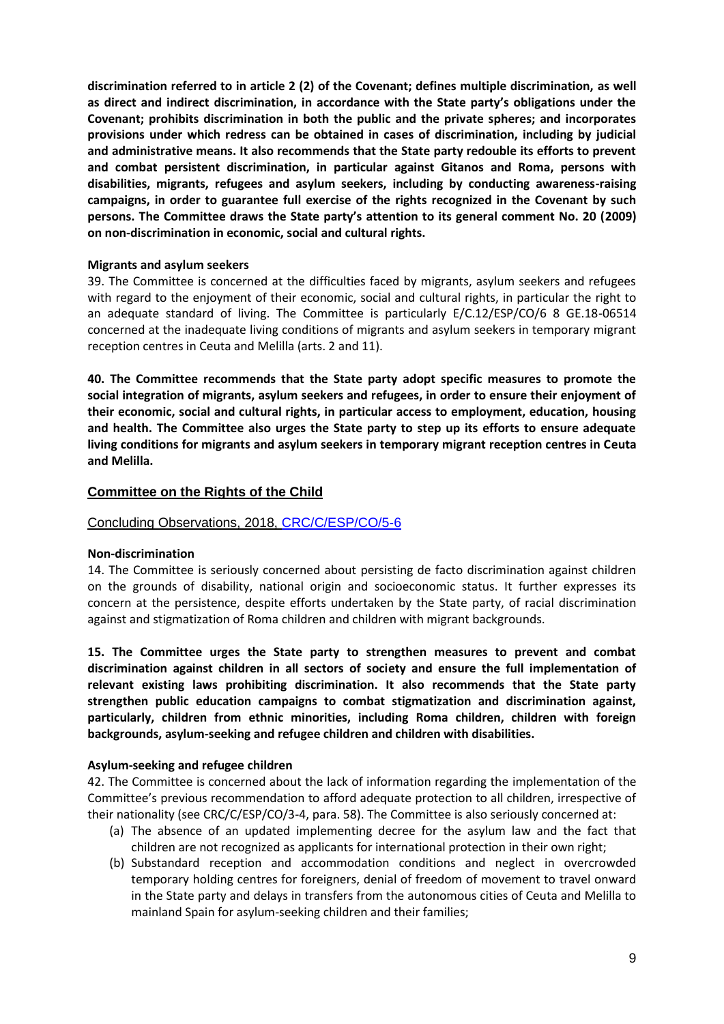**discrimination referred to in article 2 (2) of the Covenant; defines multiple discrimination, as well as direct and indirect discrimination, in accordance with the State party's obligations under the Covenant; prohibits discrimination in both the public and the private spheres; and incorporates provisions under which redress can be obtained in cases of discrimination, including by judicial and administrative means. It also recommends that the State party redouble its efforts to prevent and combat persistent discrimination, in particular against Gitanos and Roma, persons with disabilities, migrants, refugees and asylum seekers, including by conducting awareness-raising campaigns, in order to guarantee full exercise of the rights recognized in the Covenant by such persons. The Committee draws the State party's attention to its general comment No. 20 (2009) on non-discrimination in economic, social and cultural rights.**

### **Migrants and asylum seekers**

39. The Committee is concerned at the difficulties faced by migrants, asylum seekers and refugees with regard to the enjoyment of their economic, social and cultural rights, in particular the right to an adequate standard of living. The Committee is particularly E/C.12/ESP/CO/6 8 GE.18-06514 concerned at the inadequate living conditions of migrants and asylum seekers in temporary migrant reception centres in Ceuta and Melilla (arts. 2 and 11).

**40. The Committee recommends that the State party adopt specific measures to promote the social integration of migrants, asylum seekers and refugees, in order to ensure their enjoyment of their economic, social and cultural rights, in particular access to employment, education, housing and health. The Committee also urges the State party to step up its efforts to ensure adequate living conditions for migrants and asylum seekers in temporary migrant reception centres in Ceuta and Melilla.**

# **Committee on the Rights of the Child**

# Concluding Observations, 2018, [CRC/C/ESP/CO/5-6](https://tbinternet.ohchr.org/_layouts/treatybodyexternal/Download.aspx?symbolno=CRC/C/ESP/CO/5-6&Lang=En)

### **Non-discrimination**

14. The Committee is seriously concerned about persisting de facto discrimination against children on the grounds of disability, national origin and socioeconomic status. It further expresses its concern at the persistence, despite efforts undertaken by the State party, of racial discrimination against and stigmatization of Roma children and children with migrant backgrounds.

**15. The Committee urges the State party to strengthen measures to prevent and combat discrimination against children in all sectors of society and ensure the full implementation of relevant existing laws prohibiting discrimination. It also recommends that the State party strengthen public education campaigns to combat stigmatization and discrimination against, particularly, children from ethnic minorities, including Roma children, children with foreign backgrounds, asylum-seeking and refugee children and children with disabilities.**

### **Asylum-seeking and refugee children**

42. The Committee is concerned about the lack of information regarding the implementation of the Committee's previous recommendation to afford adequate protection to all children, irrespective of their nationality (see CRC/C/ESP/CO/3-4, para. 58). The Committee is also seriously concerned at:

- (a) The absence of an updated implementing decree for the asylum law and the fact that children are not recognized as applicants for international protection in their own right;
- (b) Substandard reception and accommodation conditions and neglect in overcrowded temporary holding centres for foreigners, denial of freedom of movement to travel onward in the State party and delays in transfers from the autonomous cities of Ceuta and Melilla to mainland Spain for asylum-seeking children and their families;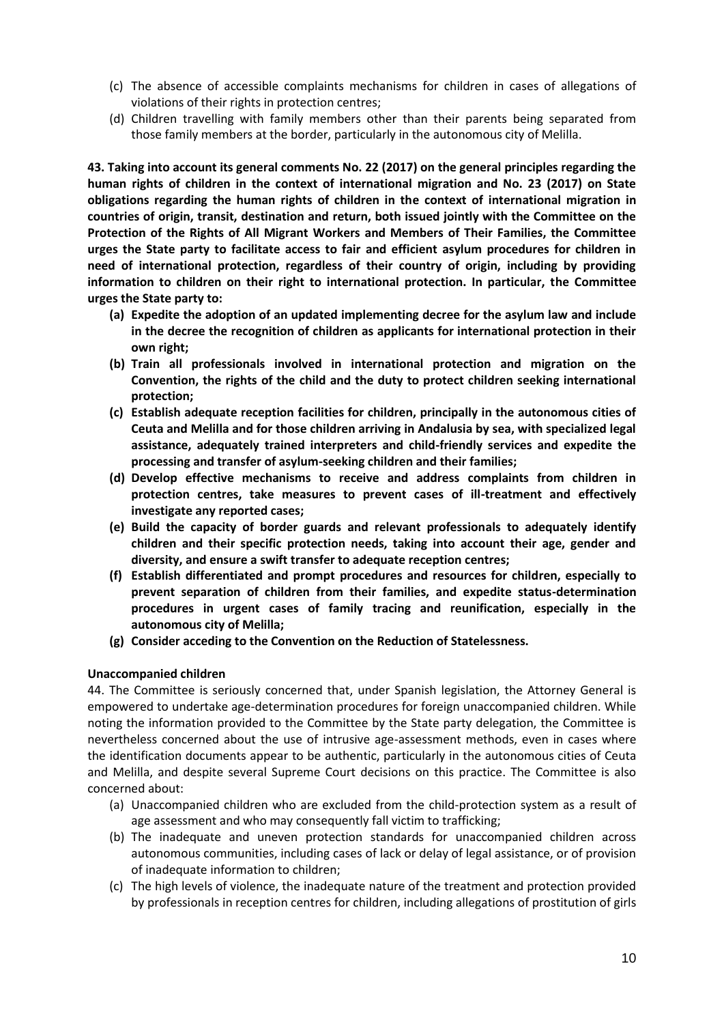- (c) The absence of accessible complaints mechanisms for children in cases of allegations of violations of their rights in protection centres;
- (d) Children travelling with family members other than their parents being separated from those family members at the border, particularly in the autonomous city of Melilla.

**43. Taking into account its general comments No. 22 (2017) on the general principles regarding the human rights of children in the context of international migration and No. 23 (2017) on State obligations regarding the human rights of children in the context of international migration in countries of origin, transit, destination and return, both issued jointly with the Committee on the Protection of the Rights of All Migrant Workers and Members of Their Families, the Committee urges the State party to facilitate access to fair and efficient asylum procedures for children in need of international protection, regardless of their country of origin, including by providing information to children on their right to international protection. In particular, the Committee urges the State party to:** 

- **(a) Expedite the adoption of an updated implementing decree for the asylum law and include in the decree the recognition of children as applicants for international protection in their own right;**
- **(b) Train all professionals involved in international protection and migration on the Convention, the rights of the child and the duty to protect children seeking international protection;**
- **(c) Establish adequate reception facilities for children, principally in the autonomous cities of Ceuta and Melilla and for those children arriving in Andalusia by sea, with specialized legal assistance, adequately trained interpreters and child-friendly services and expedite the processing and transfer of asylum-seeking children and their families;**
- **(d) Develop effective mechanisms to receive and address complaints from children in protection centres, take measures to prevent cases of ill-treatment and effectively investigate any reported cases;**
- **(e) Build the capacity of border guards and relevant professionals to adequately identify children and their specific protection needs, taking into account their age, gender and diversity, and ensure a swift transfer to adequate reception centres;**
- **(f) Establish differentiated and prompt procedures and resources for children, especially to prevent separation of children from their families, and expedite status-determination procedures in urgent cases of family tracing and reunification, especially in the autonomous city of Melilla;**
- **(g) Consider acceding to the Convention on the Reduction of Statelessness.**

### **Unaccompanied children**

44. The Committee is seriously concerned that, under Spanish legislation, the Attorney General is empowered to undertake age-determination procedures for foreign unaccompanied children. While noting the information provided to the Committee by the State party delegation, the Committee is nevertheless concerned about the use of intrusive age-assessment methods, even in cases where the identification documents appear to be authentic, particularly in the autonomous cities of Ceuta and Melilla, and despite several Supreme Court decisions on this practice. The Committee is also concerned about:

- (a) Unaccompanied children who are excluded from the child-protection system as a result of age assessment and who may consequently fall victim to trafficking;
- (b) The inadequate and uneven protection standards for unaccompanied children across autonomous communities, including cases of lack or delay of legal assistance, or of provision of inadequate information to children;
- (c) The high levels of violence, the inadequate nature of the treatment and protection provided by professionals in reception centres for children, including allegations of prostitution of girls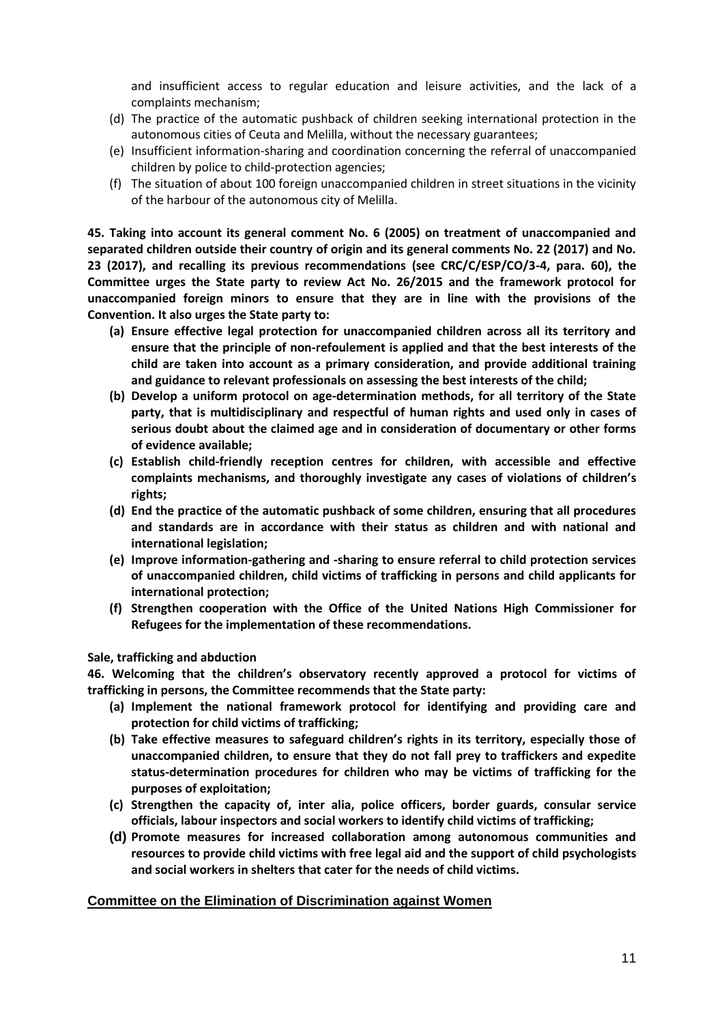and insufficient access to regular education and leisure activities, and the lack of a complaints mechanism;

- (d) The practice of the automatic pushback of children seeking international protection in the autonomous cities of Ceuta and Melilla, without the necessary guarantees;
- (e) Insufficient information-sharing and coordination concerning the referral of unaccompanied children by police to child-protection agencies;
- (f) The situation of about 100 foreign unaccompanied children in street situations in the vicinity of the harbour of the autonomous city of Melilla.

**45. Taking into account its general comment No. 6 (2005) on treatment of unaccompanied and separated children outside their country of origin and its general comments No. 22 (2017) and No. 23 (2017), and recalling its previous recommendations (see CRC/C/ESP/CO/3-4, para. 60), the Committee urges the State party to review Act No. 26/2015 and the framework protocol for unaccompanied foreign minors to ensure that they are in line with the provisions of the Convention. It also urges the State party to:** 

- **(a) Ensure effective legal protection for unaccompanied children across all its territory and ensure that the principle of non-refoulement is applied and that the best interests of the child are taken into account as a primary consideration, and provide additional training and guidance to relevant professionals on assessing the best interests of the child;**
- **(b) Develop a uniform protocol on age-determination methods, for all territory of the State party, that is multidisciplinary and respectful of human rights and used only in cases of serious doubt about the claimed age and in consideration of documentary or other forms of evidence available;**
- **(c) Establish child-friendly reception centres for children, with accessible and effective complaints mechanisms, and thoroughly investigate any cases of violations of children's rights;**
- **(d) End the practice of the automatic pushback of some children, ensuring that all procedures and standards are in accordance with their status as children and with national and international legislation;**
- **(e) Improve information-gathering and -sharing to ensure referral to child protection services of unaccompanied children, child victims of trafficking in persons and child applicants for international protection;**
- **(f) Strengthen cooperation with the Office of the United Nations High Commissioner for Refugees for the implementation of these recommendations.**

### **Sale, trafficking and abduction**

**46. Welcoming that the children's observatory recently approved a protocol for victims of trafficking in persons, the Committee recommends that the State party:** 

- **(a) Implement the national framework protocol for identifying and providing care and protection for child victims of trafficking;**
- **(b) Take effective measures to safeguard children's rights in its territory, especially those of unaccompanied children, to ensure that they do not fall prey to traffickers and expedite status-determination procedures for children who may be victims of trafficking for the purposes of exploitation;**
- **(c) Strengthen the capacity of, inter alia, police officers, border guards, consular service officials, labour inspectors and social workers to identify child victims of trafficking;**
- **(d) Promote measures for increased collaboration among autonomous communities and resources to provide child victims with free legal aid and the support of child psychologists and social workers in shelters that cater for the needs of child victims.**

### **Committee on the Elimination of Discrimination against Women**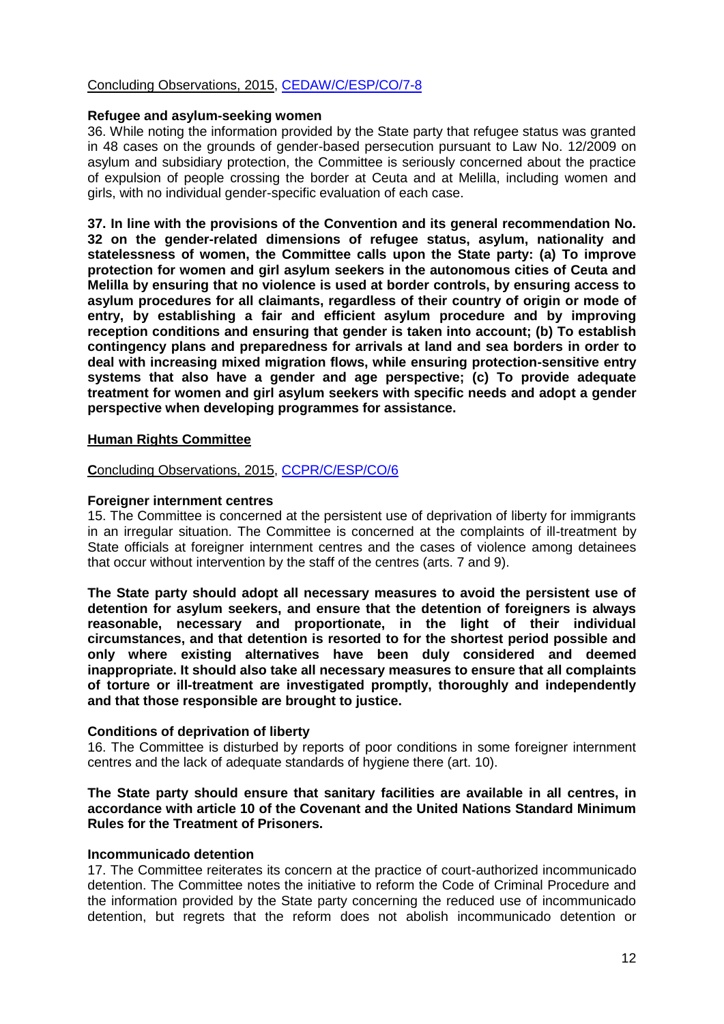# Concluding Observations, 2015, [CEDAW/C/ESP/CO/7-8](https://tbinternet.ohchr.org/_layouts/treatybodyexternal/Download.aspx?symbolno=CEDAW/C/ESP/CO/7-8%20&Lang=En)

#### **Refugee and asylum-seeking women**

36. While noting the information provided by the State party that refugee status was granted in 48 cases on the grounds of gender-based persecution pursuant to Law No. 12/2009 on asylum and subsidiary protection, the Committee is seriously concerned about the practice of expulsion of people crossing the border at Ceuta and at Melilla, including women and girls, with no individual gender-specific evaluation of each case.

**37. In line with the provisions of the Convention and its general recommendation No. 32 on the gender-related dimensions of refugee status, asylum, nationality and statelessness of women, the Committee calls upon the State party: (a) To improve protection for women and girl asylum seekers in the autonomous cities of Ceuta and Melilla by ensuring that no violence is used at border controls, by ensuring access to asylum procedures for all claimants, regardless of their country of origin or mode of entry, by establishing a fair and efficient asylum procedure and by improving reception conditions and ensuring that gender is taken into account; (b) To establish contingency plans and preparedness for arrivals at land and sea borders in order to deal with increasing mixed migration flows, while ensuring protection-sensitive entry systems that also have a gender and age perspective; (c) To provide adequate treatment for women and girl asylum seekers with specific needs and adopt a gender perspective when developing programmes for assistance.**

### **Human Rights Committee**

**C**oncluding Observations, 2015, [CCPR/C/ESP/CO/6](https://tbinternet.ohchr.org/_layouts/treatybodyexternal/Download.aspx?symbolno=CCPR/C/ESP/CO/6&Lang=En)

### **Foreigner internment centres**

15. The Committee is concerned at the persistent use of deprivation of liberty for immigrants in an irregular situation. The Committee is concerned at the complaints of ill-treatment by State officials at foreigner internment centres and the cases of violence among detainees that occur without intervention by the staff of the centres (arts. 7 and 9).

**The State party should adopt all necessary measures to avoid the persistent use of detention for asylum seekers, and ensure that the detention of foreigners is always reasonable, necessary and proportionate, in the light of their individual circumstances, and that detention is resorted to for the shortest period possible and only where existing alternatives have been duly considered and deemed inappropriate. It should also take all necessary measures to ensure that all complaints of torture or ill-treatment are investigated promptly, thoroughly and independently and that those responsible are brought to justice.**

### **Conditions of deprivation of liberty**

16. The Committee is disturbed by reports of poor conditions in some foreigner internment centres and the lack of adequate standards of hygiene there (art. 10).

### **The State party should ensure that sanitary facilities are available in all centres, in accordance with article 10 of the Covenant and the United Nations Standard Minimum Rules for the Treatment of Prisoners.**

### **Incommunicado detention**

17. The Committee reiterates its concern at the practice of court-authorized incommunicado detention. The Committee notes the initiative to reform the Code of Criminal Procedure and the information provided by the State party concerning the reduced use of incommunicado detention, but regrets that the reform does not abolish incommunicado detention or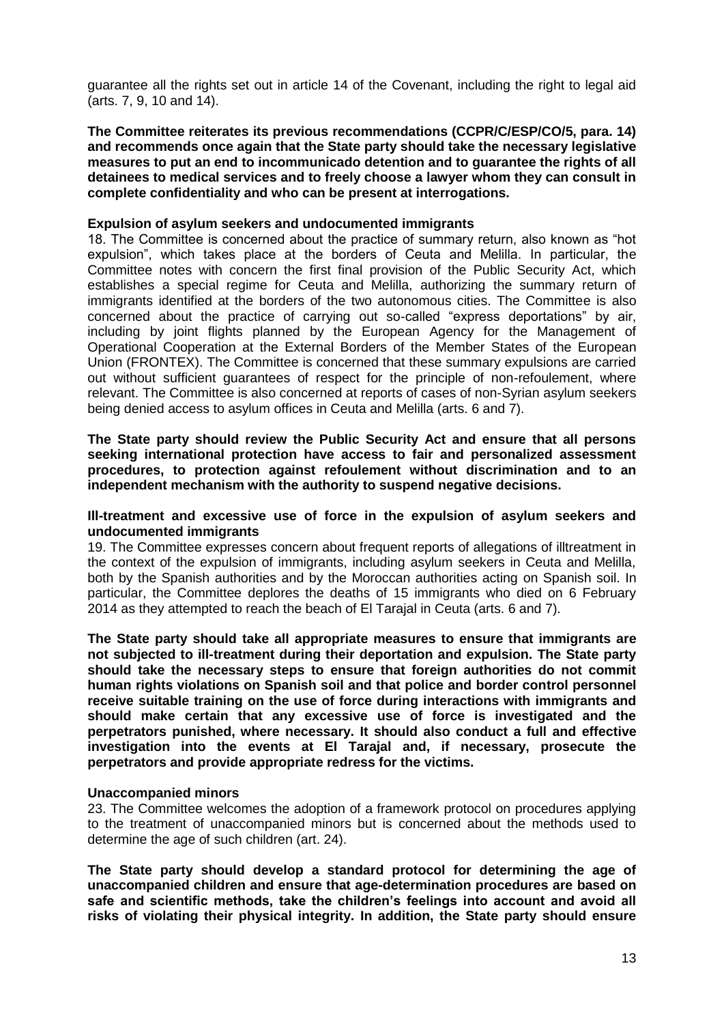guarantee all the rights set out in article 14 of the Covenant, including the right to legal aid (arts. 7, 9, 10 and 14).

**The Committee reiterates its previous recommendations (CCPR/C/ESP/CO/5, para. 14) and recommends once again that the State party should take the necessary legislative measures to put an end to incommunicado detention and to guarantee the rights of all detainees to medical services and to freely choose a lawyer whom they can consult in complete confidentiality and who can be present at interrogations.** 

### **Expulsion of asylum seekers and undocumented immigrants**

18. The Committee is concerned about the practice of summary return, also known as "hot expulsion", which takes place at the borders of Ceuta and Melilla. In particular, the Committee notes with concern the first final provision of the Public Security Act, which establishes a special regime for Ceuta and Melilla, authorizing the summary return of immigrants identified at the borders of the two autonomous cities. The Committee is also concerned about the practice of carrying out so-called "express deportations" by air, including by joint flights planned by the European Agency for the Management of Operational Cooperation at the External Borders of the Member States of the European Union (FRONTEX). The Committee is concerned that these summary expulsions are carried out without sufficient guarantees of respect for the principle of non-refoulement, where relevant. The Committee is also concerned at reports of cases of non-Syrian asylum seekers being denied access to asylum offices in Ceuta and Melilla (arts. 6 and 7).

**The State party should review the Public Security Act and ensure that all persons seeking international protection have access to fair and personalized assessment procedures, to protection against refoulement without discrimination and to an independent mechanism with the authority to suspend negative decisions.** 

### **Ill-treatment and excessive use of force in the expulsion of asylum seekers and undocumented immigrants**

19. The Committee expresses concern about frequent reports of allegations of illtreatment in the context of the expulsion of immigrants, including asylum seekers in Ceuta and Melilla, both by the Spanish authorities and by the Moroccan authorities acting on Spanish soil. In particular, the Committee deplores the deaths of 15 immigrants who died on 6 February 2014 as they attempted to reach the beach of El Tarajal in Ceuta (arts. 6 and 7).

**The State party should take all appropriate measures to ensure that immigrants are not subjected to ill-treatment during their deportation and expulsion. The State party should take the necessary steps to ensure that foreign authorities do not commit human rights violations on Spanish soil and that police and border control personnel receive suitable training on the use of force during interactions with immigrants and should make certain that any excessive use of force is investigated and the perpetrators punished, where necessary. It should also conduct a full and effective investigation into the events at El Tarajal and, if necessary, prosecute the perpetrators and provide appropriate redress for the victims.**

### **Unaccompanied minors**

23. The Committee welcomes the adoption of a framework protocol on procedures applying to the treatment of unaccompanied minors but is concerned about the methods used to determine the age of such children (art. 24).

**The State party should develop a standard protocol for determining the age of unaccompanied children and ensure that age-determination procedures are based on safe and scientific methods, take the children's feelings into account and avoid all risks of violating their physical integrity. In addition, the State party should ensure**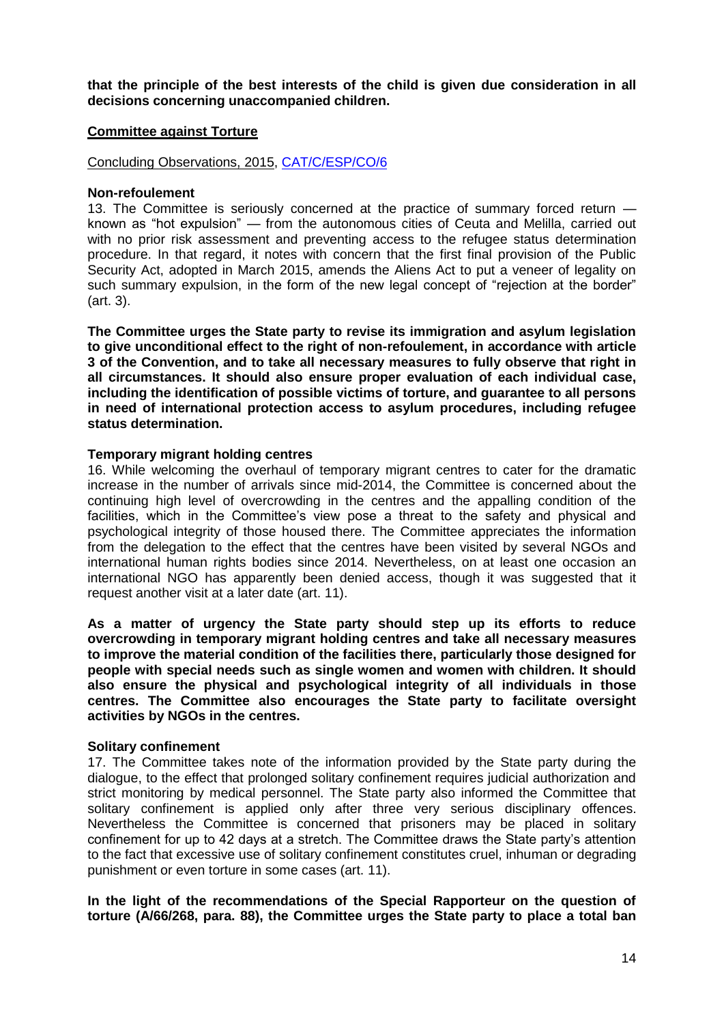**that the principle of the best interests of the child is given due consideration in all decisions concerning unaccompanied children.**

# **Committee against Torture**

Concluding Observations, 2015, [CAT/C/ESP/CO/6](https://tbinternet.ohchr.org/_layouts/treatybodyexternal/Download.aspx?symbolno=CAT/C/ESP/CO/6&Lang=En)

#### **Non-refoulement**

13. The Committee is seriously concerned at the practice of summary forced return known as "hot expulsion" — from the autonomous cities of Ceuta and Melilla, carried out with no prior risk assessment and preventing access to the refugee status determination procedure. In that regard, it notes with concern that the first final provision of the Public Security Act, adopted in March 2015, amends the Aliens Act to put a veneer of legality on such summary expulsion, in the form of the new legal concept of "rejection at the border" (art. 3).

**The Committee urges the State party to revise its immigration and asylum legislation to give unconditional effect to the right of non-refoulement, in accordance with article 3 of the Convention, and to take all necessary measures to fully observe that right in all circumstances. It should also ensure proper evaluation of each individual case, including the identification of possible victims of torture, and guarantee to all persons in need of international protection access to asylum procedures, including refugee status determination.**

### **Temporary migrant holding centres**

16. While welcoming the overhaul of temporary migrant centres to cater for the dramatic increase in the number of arrivals since mid-2014, the Committee is concerned about the continuing high level of overcrowding in the centres and the appalling condition of the facilities, which in the Committee's view pose a threat to the safety and physical and psychological integrity of those housed there. The Committee appreciates the information from the delegation to the effect that the centres have been visited by several NGOs and international human rights bodies since 2014. Nevertheless, on at least one occasion an international NGO has apparently been denied access, though it was suggested that it request another visit at a later date (art. 11).

**As a matter of urgency the State party should step up its efforts to reduce overcrowding in temporary migrant holding centres and take all necessary measures to improve the material condition of the facilities there, particularly those designed for people with special needs such as single women and women with children. It should also ensure the physical and psychological integrity of all individuals in those centres. The Committee also encourages the State party to facilitate oversight activities by NGOs in the centres.** 

### **Solitary confinement**

17. The Committee takes note of the information provided by the State party during the dialogue, to the effect that prolonged solitary confinement requires judicial authorization and strict monitoring by medical personnel. The State party also informed the Committee that solitary confinement is applied only after three very serious disciplinary offences. Nevertheless the Committee is concerned that prisoners may be placed in solitary confinement for up to 42 days at a stretch. The Committee draws the State party's attention to the fact that excessive use of solitary confinement constitutes cruel, inhuman or degrading punishment or even torture in some cases (art. 11).

**In the light of the recommendations of the Special Rapporteur on the question of torture (A/66/268, para. 88), the Committee urges the State party to place a total ban**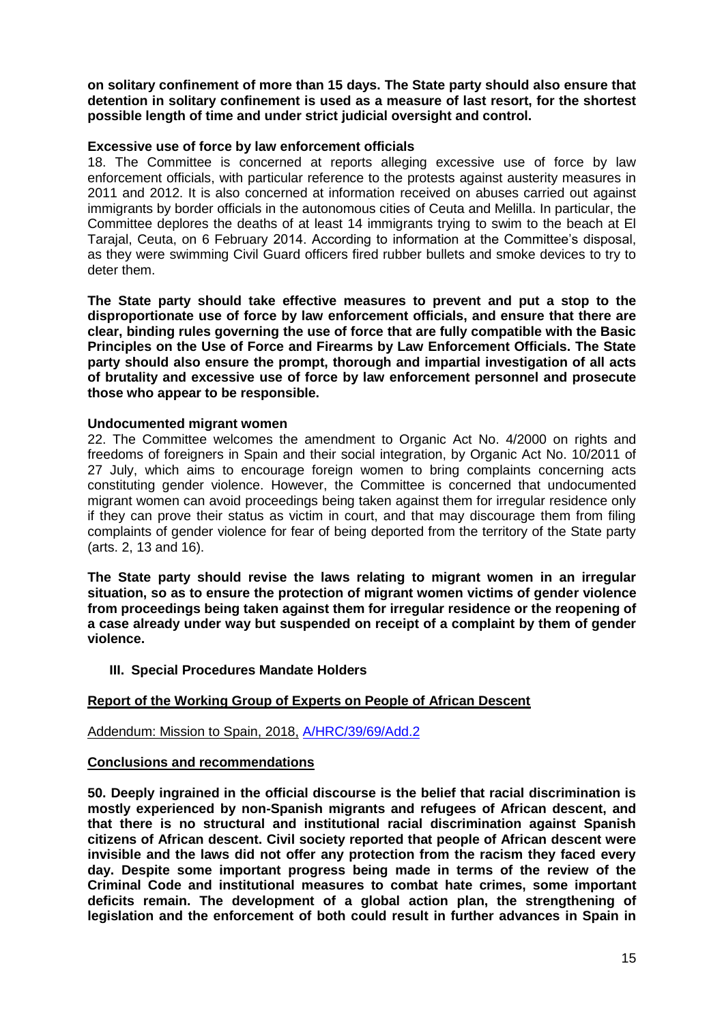**on solitary confinement of more than 15 days. The State party should also ensure that detention in solitary confinement is used as a measure of last resort, for the shortest possible length of time and under strict judicial oversight and control.** 

### **Excessive use of force by law enforcement officials**

18. The Committee is concerned at reports alleging excessive use of force by law enforcement officials, with particular reference to the protests against austerity measures in 2011 and 2012. It is also concerned at information received on abuses carried out against immigrants by border officials in the autonomous cities of Ceuta and Melilla. In particular, the Committee deplores the deaths of at least 14 immigrants trying to swim to the beach at El Tarajal, Ceuta, on 6 February 2014. According to information at the Committee's disposal, as they were swimming Civil Guard officers fired rubber bullets and smoke devices to try to deter them.

**The State party should take effective measures to prevent and put a stop to the disproportionate use of force by law enforcement officials, and ensure that there are clear, binding rules governing the use of force that are fully compatible with the Basic Principles on the Use of Force and Firearms by Law Enforcement Officials. The State party should also ensure the prompt, thorough and impartial investigation of all acts of brutality and excessive use of force by law enforcement personnel and prosecute those who appear to be responsible.**

### **Undocumented migrant women**

22. The Committee welcomes the amendment to Organic Act No. 4/2000 on rights and freedoms of foreigners in Spain and their social integration, by Organic Act No. 10/2011 of 27 July, which aims to encourage foreign women to bring complaints concerning acts constituting gender violence. However, the Committee is concerned that undocumented migrant women can avoid proceedings being taken against them for irregular residence only if they can prove their status as victim in court, and that may discourage them from filing complaints of gender violence for fear of being deported from the territory of the State party (arts. 2, 13 and 16).

**The State party should revise the laws relating to migrant women in an irregular situation, so as to ensure the protection of migrant women victims of gender violence from proceedings being taken against them for irregular residence or the reopening of a case already under way but suspended on receipt of a complaint by them of gender violence.**

### **III. Special Procedures Mandate Holders**

# **Report of the Working Group of Experts on People of African Descent**

Addendum: Mission to Spain, 2018, [A/HRC/39/69/Add.2](https://documents-dds-ny.un.org/doc/UNDOC/GEN/G18/249/75/PDF/G1824975.pdf?OpenElement)

### **Conclusions and recommendations**

**50. Deeply ingrained in the official discourse is the belief that racial discrimination is mostly experienced by non-Spanish migrants and refugees of African descent, and that there is no structural and institutional racial discrimination against Spanish citizens of African descent. Civil society reported that people of African descent were invisible and the laws did not offer any protection from the racism they faced every day. Despite some important progress being made in terms of the review of the Criminal Code and institutional measures to combat hate crimes, some important deficits remain. The development of a global action plan, the strengthening of legislation and the enforcement of both could result in further advances in Spain in**